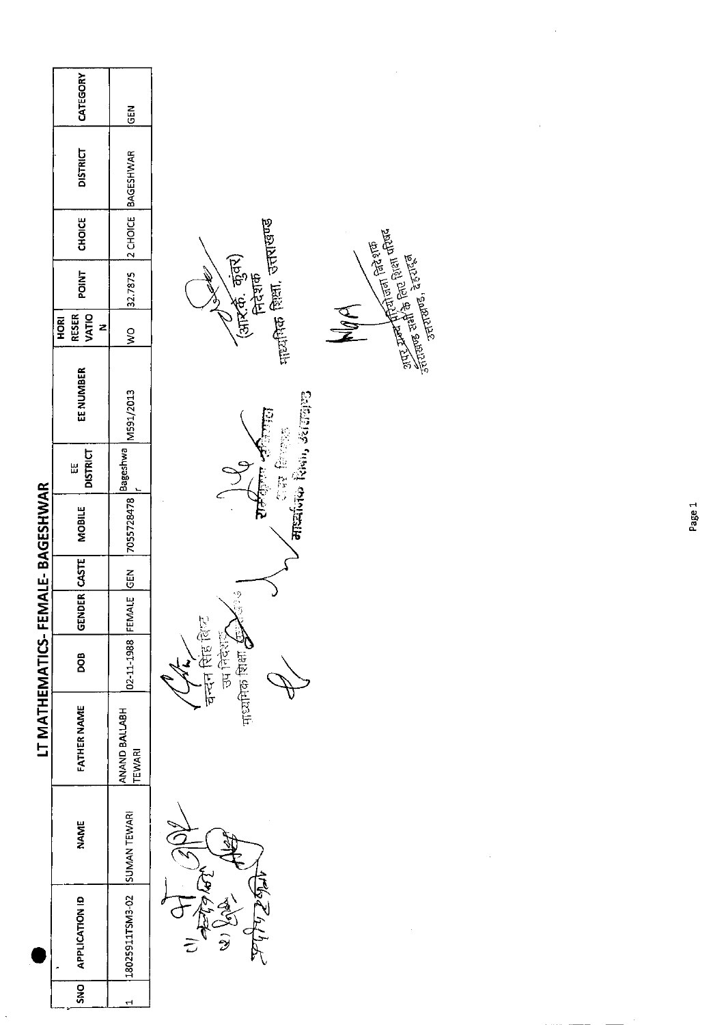| CATEGORY             |                                       |                                                                                                                                  |
|----------------------|---------------------------------------|----------------------------------------------------------------------------------------------------------------------------------|
| <b>DISTRICT</b>      |                                       |                                                                                                                                  |
| CHOICE               |                                       |                                                                                                                                  |
| <b>POINT</b>         | 32.7875                               | <sub>माय्य</sub> तिक शिक्षा, उत्तराखण्ड<br>(आर.की. कुंवर)<br>निदेशक<br>- ^                                                       |
| HORI<br>z            | $\frac{1}{2}$                         |                                                                                                                                  |
| EE NUMBER            |                                       | ⁄ ास किल्ला<br>मार्चांगक रिका, उत्तराखाड                                                                                         |
| <b>DISTRICT</b><br>Ш |                                       | रोकेंग्रिया <i>न्</i> री                                                                                                         |
| <b>MOBILE</b>        |                                       |                                                                                                                                  |
|                      |                                       |                                                                                                                                  |
|                      |                                       | $\frac{1}{2}$                                                                                                                    |
| BOG                  |                                       | चन्दन सिंह विष्ट<br><b>Reference</b>                                                                                             |
| <b>FATHER NAME</b>   | ANAND BALLABH<br>TEWARI               |                                                                                                                                  |
| <b>NAME</b>          |                                       |                                                                                                                                  |
| APPLICATION ID       |                                       | MALAJA<br><b>SA</b><br>$\frac{1}{2}$                                                                                             |
| <b>DAS</b>           | ٣                                     |                                                                                                                                  |
|                      | VATIO<br><b>RESER</b><br>GENDER CASTE | <b>GEN</b><br>2 CHOICE BAGESHWAR<br>M591/2013<br> 7055728478 Bageshwa  <br>02-11-1988 FEMALE GEN<br>18025911TSM3-02 SUMAN TEWARI |

 $\hat{\mathcal{A}}$ 

 $\frac{1}{2}$ 

Recent Management Recent Recent Recent Recent Recent Recent Recent Recent Recent Recent Recent Recent Recent Recent Recent Recent Recent Recent Recent Recent Recent Recent Recent Recent Recent Recent Recent Recent Recent R

 $\frac{1}{2}$ 

 $\frac{1}{2}$ 

Page 1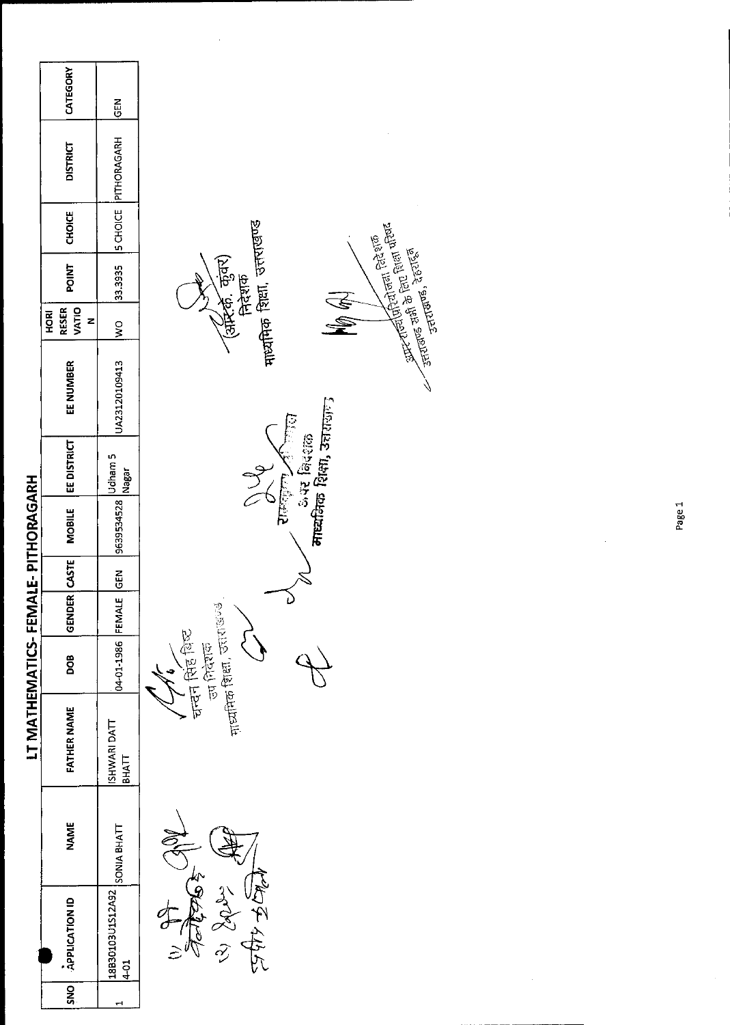## LT MATHEMATICS-FEMALE-PITHORAGARH

| CATEGORY                                  | $rac{2}{9}$                           |
|-------------------------------------------|---------------------------------------|
| <b>DISTRICT</b>                           | 33.3935 SCHOICE PITHORAGARH           |
| POINT   CHOICE                            |                                       |
|                                           |                                       |
| <b>VATIO</b><br><b>RESER</b><br>HORI<br>7 | $rac{1}{2}$                           |
| EE NUMBER                                 | JA23120109413                         |
| VDER   CASTE   MOBILE   EE DISTRICT       | -MALE GEN 9639534528 Udham 5<br>Nagar |
|                                           |                                       |
|                                           |                                       |
| 준<br>이                                    |                                       |
| ဦ                                         | 04-01-1986 FEM                        |
| <b>FATHER NAME</b>                        | ISHWARI DATT<br><b>EHYLL</b>          |
| NAME                                      | <b>SONIA BHATT</b>                    |
| SNO   APPLICATION ID                      | BB30103U1S12A92<br>$\frac{1}{4}$      |
|                                           |                                       |



मायमिक शिक्षा, उत्तराखण्ड (अमिली, कुंवर)<br>निदेशक राल्लेजन की लाला<br>अस विरशक<br>**माध्यमिक शिक्षा, उत्तरा**सानु  $\frac{9}{6}$ नन्दन सिंह विष्ट<br>उप निदेशक<br><sub>माध्यमिक शिक्षा,</sub> उत्तराख्यक  $\mathsf{Q}$ 

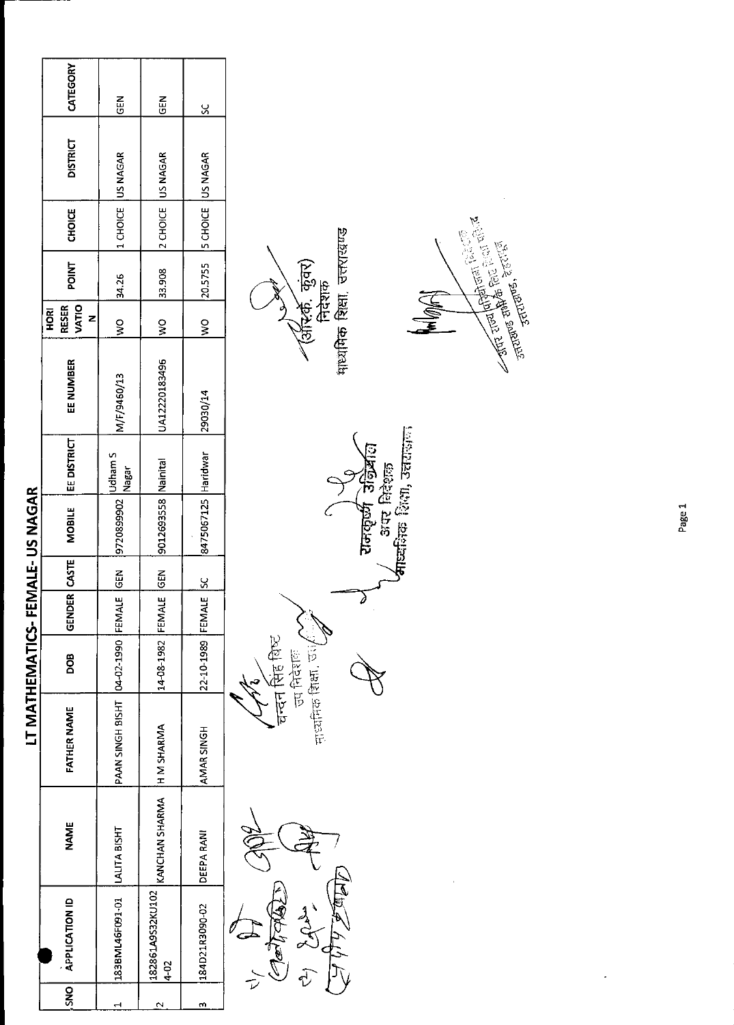|                                | CATEGORY                           | 집<br>5                                 | 도<br>55                  | <u>s</u>                |                                                         |
|--------------------------------|------------------------------------|----------------------------------------|--------------------------|-------------------------|---------------------------------------------------------|
|                                | <b>DISTRICT</b>                    | US NAGAR                               | 2 CHOICE US NAGAR        | 5 CHOICE JUS NAGAR      |                                                         |
|                                | <b>CHOICE</b>                      | 1 CHOICE                               |                          |                         |                                                         |
|                                | <b>POINT</b>                       | 34.26                                  | 33.908                   | 20.5755                 | माध्यमिक शिक्षा, उत्तराखण्ड<br>(अस्कि, कुंवर)<br>निदेशक |
|                                | VATIO<br><b>RESER</b><br>HORI<br>z | $\frac{1}{2}$                          | ş                        | $\frac{1}{2}$           | <b>ANGINA</b>                                           |
|                                | EE NUMBER                          | M/F/9460/13                            | UA12220183496            | 29030/14                |                                                         |
|                                | EE DISTRICT                        | <b>Udham S</b><br>Nagar                | Nainital                 |                         | ष्ट्यविक शिक्षा, उत्तराज्ञक                             |
| LT MATHEMATICS-FEMALE-US NAGAR | <b>MOBILE</b>                      | 9720899902                             | 9012693558               | 8475067125 Haridwar     | रामकूर्ण अभ्रिति<br>अस निश्ल                            |
|                                |                                    | $rac{5}{65}$                           | <b>IGEN</b>              | $\overline{\mathbf{s}}$ |                                                         |
|                                | GENDER CASTE                       |                                        |                          |                         |                                                         |
|                                | BOO                                |                                        | 14-08-1982 FEMALE        | 22-10-1989 FEMALE       | चन्दन सिंह बिष्ट<br><b>PD REEE</b>                      |
|                                | <b>FATHER NAME</b>                 | PAAN SINGH BISHT   04-02-1990   FEMALE | <b>H M SHARMA</b>        | AMAR SINGH              | नाध्यनिक शिक्षा, उप                                     |
|                                | <b>NAME</b>                        | LALITA BISHT                           | KANCHAN SHARMA           | <b>DEEPA RANI</b>       |                                                         |
|                                | <b>APPLICATION ID</b>              | 183BML46F091-01                        | 182861A9S32KU102<br>4-02 | 184D21R3090-02          | <u>Mage h</u><br>Methods<br>Lady<br>$\hat{\psi}$        |
|                                | <b>ONS</b>                         | Н                                      | $\mathbf{\hat{z}}$       | m                       |                                                         |

Page 1

 $\overline{\phantom{a}}$ 

 $\boldsymbol{\beta}$ 

 $\mathfrak{S}$ 

 $\mathbb{F}$ 

**Company Company Report Report Report Report Report Report Report Report Report Report Report Report Report Report Report Report Report Report Report Report Report Report Report Report Report Report Report Report Report Re**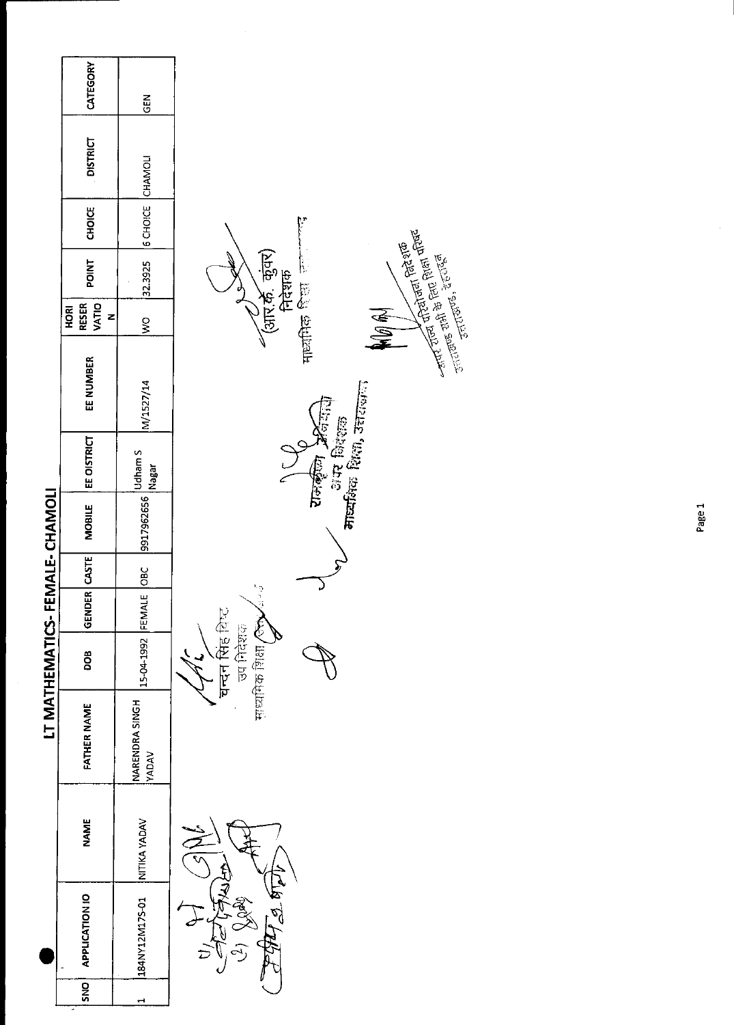|                               | CATEGORY                           | GEN                            |                                                                                                                                                                                                                                                                                                                                                                                                                                                                                  |
|-------------------------------|------------------------------------|--------------------------------|----------------------------------------------------------------------------------------------------------------------------------------------------------------------------------------------------------------------------------------------------------------------------------------------------------------------------------------------------------------------------------------------------------------------------------------------------------------------------------|
|                               | <b>DISTRICT</b>                    |                                |                                                                                                                                                                                                                                                                                                                                                                                                                                                                                  |
|                               | CHOICE                             | 6 CHOICE CHAMOLI               |                                                                                                                                                                                                                                                                                                                                                                                                                                                                                  |
|                               | <b>POINT</b>                       | 32.3925                        | $\frac{1}{2} \frac{1}{2} \frac{1}{2} \frac{1}{2} \frac{1}{2} \frac{1}{2} \frac{1}{2} \frac{1}{2} \frac{1}{2} \frac{1}{2} \frac{1}{2} \frac{1}{2} \frac{1}{2} \frac{1}{2} \frac{1}{2} \frac{1}{2} \frac{1}{2} \frac{1}{2} \frac{1}{2} \frac{1}{2} \frac{1}{2} \frac{1}{2} \frac{1}{2} \frac{1}{2} \frac{1}{2} \frac{1}{2} \frac{1}{2} \frac{1}{2} \frac{1}{2} \frac{1}{2} \frac{1}{2} \frac{$<br>(आर.के. कुंवर)<br>निदेशक<br><b>STITUTES, 26-1768</b><br><b>The first feature</b> |
|                               | VATIO<br><b>RESER</b><br>HORI<br>z | $\geq$                         | <b>ANG AN</b>                                                                                                                                                                                                                                                                                                                                                                                                                                                                    |
|                               | EE NUMBER                          | M/1527/14                      |                                                                                                                                                                                                                                                                                                                                                                                                                                                                                  |
|                               | EE OISTRICT                        | <b>Udham S</b><br>Nagar        | मार्व्यक्षिक शिक्षा, उत्तराज्ञान<br>The Second Design<br>अंग् विदेशक                                                                                                                                                                                                                                                                                                                                                                                                             |
|                               | <b>MOBILE</b>                      | 9917962656                     |                                                                                                                                                                                                                                                                                                                                                                                                                                                                                  |
|                               |                                    | $rac{BC}{28C}$                 |                                                                                                                                                                                                                                                                                                                                                                                                                                                                                  |
|                               | GENDER CASTE                       |                                | $\frac{e^x}{e^x}$                                                                                                                                                                                                                                                                                                                                                                                                                                                                |
| LT MATHEMATICS-FEMALE-CHAMOLI | DOB                                | 15-04-1992 FEMALE              | यन्दन सिंह विष्ट<br>माध्यमिक शिक्षा / लेले<br>ज्य निर्देशक                                                                                                                                                                                                                                                                                                                                                                                                                       |
|                               | <b>FATHER NAME</b>                 | NARENDRA SINGH<br><b>VADAV</b> |                                                                                                                                                                                                                                                                                                                                                                                                                                                                                  |
|                               | <b>NAME</b>                        | NITIKA YADAV                   |                                                                                                                                                                                                                                                                                                                                                                                                                                                                                  |
|                               | APPLICATION IO                     | 184NY12M175-01                 | $\frac{2}{2}$<br>$\tilde{c}$                                                                                                                                                                                                                                                                                                                                                                                                                                                     |
|                               | $\overline{5}$                     |                                |                                                                                                                                                                                                                                                                                                                                                                                                                                                                                  |

 $\frac{1}{\sqrt{2}}$ 

Page 1

Ŷ,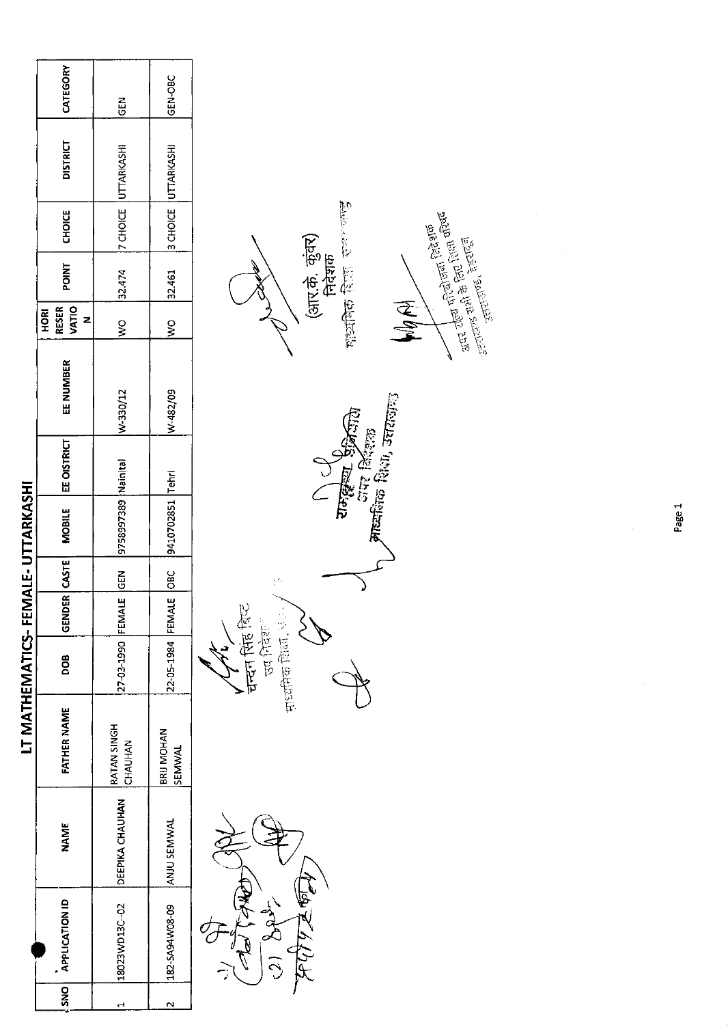|                      |                        |                            |                   |               |               | LT MATHEMATICS-FEMALE-UTTARKASHI |             |           |                                     |              |               |                     |               |  |
|----------------------|------------------------|----------------------------|-------------------|---------------|---------------|----------------------------------|-------------|-----------|-------------------------------------|--------------|---------------|---------------------|---------------|--|
| SNO   APPLICATION ID | <b>NAME</b>            | <b>FATHER NAME</b>         | <b>900</b>        | GENDER CASTE! |               | <b>MOBILE</b>                    | EE OISTRICT | EE NUMBER | VATIO<br><b>RESER</b><br><b>ROH</b> | <b>POINT</b> | <b>CHOICE</b> | <b>DISTRICT</b>     | CATEGORY      |  |
| 18023WD13C-02        | <b>DEEPIKA CHAUHAN</b> | RATAN SINGH<br>CHAUHAN     | 27-03-1990 FEMAL  |               | $\frac{2}{5}$ | 9758997389   Nainital            |             | W-330/12  | ος<br>Μ                             | 32.474       |               | 7 CHOICE UTTARKASHI | $\frac{2}{5}$ |  |
| 182-SA94W08-09       | ANJU SEMWAL            | <b>BRU MOHAN</b><br>SEMWAL | 22-05-1984 FEMALE |               |               | 9410702851 Tehri                 |             | W-482/09  | $\frac{1}{2}$                       | 32.461       |               | 3 CHOICE UTTARKASHI | GEN-OBC       |  |



ान बिर्दशक<br>**माध्य**निक शिथा, उत्तराष्णु **CONTROLLED**  $\mathbb{C}^2$ **पन्दन सिंह** बिच्च<br>उप निर्वेशन 中國(中國)

(आर.के. कुंवर)<br>निदेशक<br><sub>गोड्यी</sub>वेक रिपा राज्या जाउँ



Page 1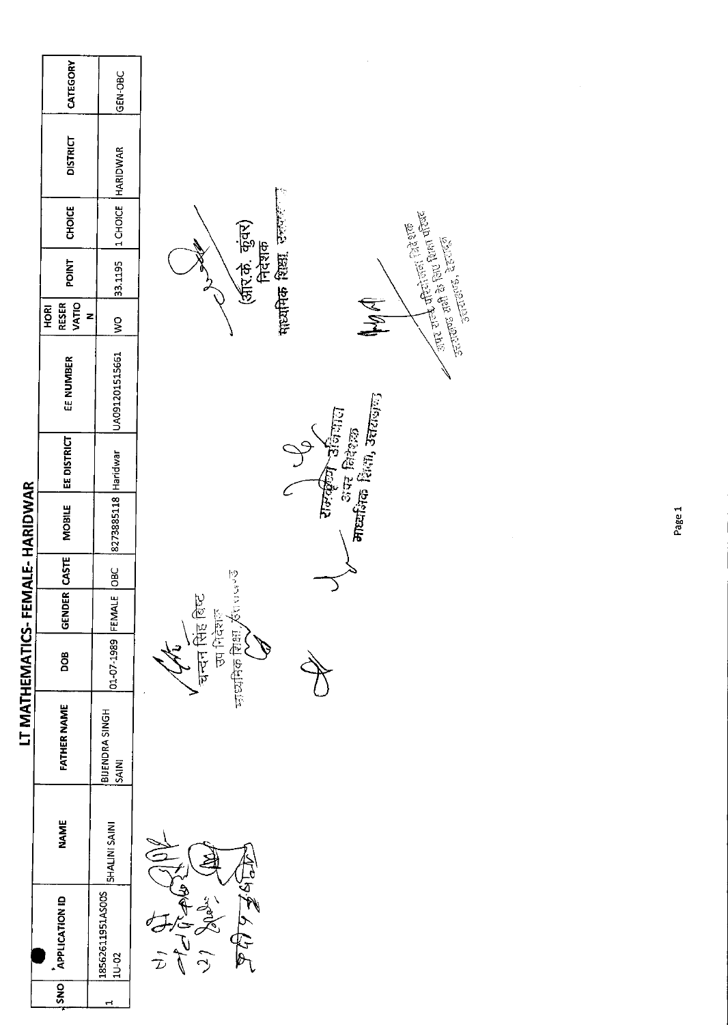|                                 | CATEGORY                           | GEN-OBC                     |                                                                                       |        |
|---------------------------------|------------------------------------|-----------------------------|---------------------------------------------------------------------------------------|--------|
|                                 | <b>DISTRICT</b>                    | HARIDWAR                    | Þ                                                                                     |        |
|                                 | <b>CHOICE</b>                      | 1 CHOICE                    | <b>And the fill light first</b><br>And state light the first of the first             |        |
|                                 | <b>POINT</b>                       | 33.1195                     | माध्यमिक शिक्षा उल्लेट<br>(अरि.के. कुंवर)<br>निदेशक<br>- उत्तराख, देहताको<br>उत्तराख, |        |
|                                 | VATIO<br><b>RESER</b><br>HORI<br>z | $\frac{8}{5}$               | MA                                                                                    |        |
|                                 | EE NUMBER                          | UA091201515661              |                                                                                       |        |
|                                 | EE DISTRICT                        | Haridwar                    | ⁄ अंप विदेशक<br>माध्यमिक शिंगा, उत्तराजान<br>रामकूले उनियात                           |        |
| LT MATHEMATICS-FEMALE- HARIDWAR | <b>MOBILE</b>                      | 8273885118                  |                                                                                       | Page 1 |
|                                 | GENDER CASTE                       | jовс                        |                                                                                       |        |
|                                 |                                    | FEMALE                      | ゆうじこぼ                                                                                 |        |
|                                 | DOB                                | 01-07-1989                  | चन्दन सिंह बिष्ट<br>医花仁历<br>可以付け                                                      |        |
|                                 | <b>FATHER NAME</b>                 | BIJENDRA SINGH<br>SAINI     |                                                                                       |        |
|                                 | <b>NAME</b>                        | <b>SHALINI SAINI</b>        |                                                                                       |        |
|                                 | <b>APPLICATION ID</b>              | 18562611951AS00S<br>$10-02$ | $\frac{1}{2}$<br>$\sum_{\ell}$                                                        |        |
|                                 | SNO                                | $\mathbf{r}$                |                                                                                       |        |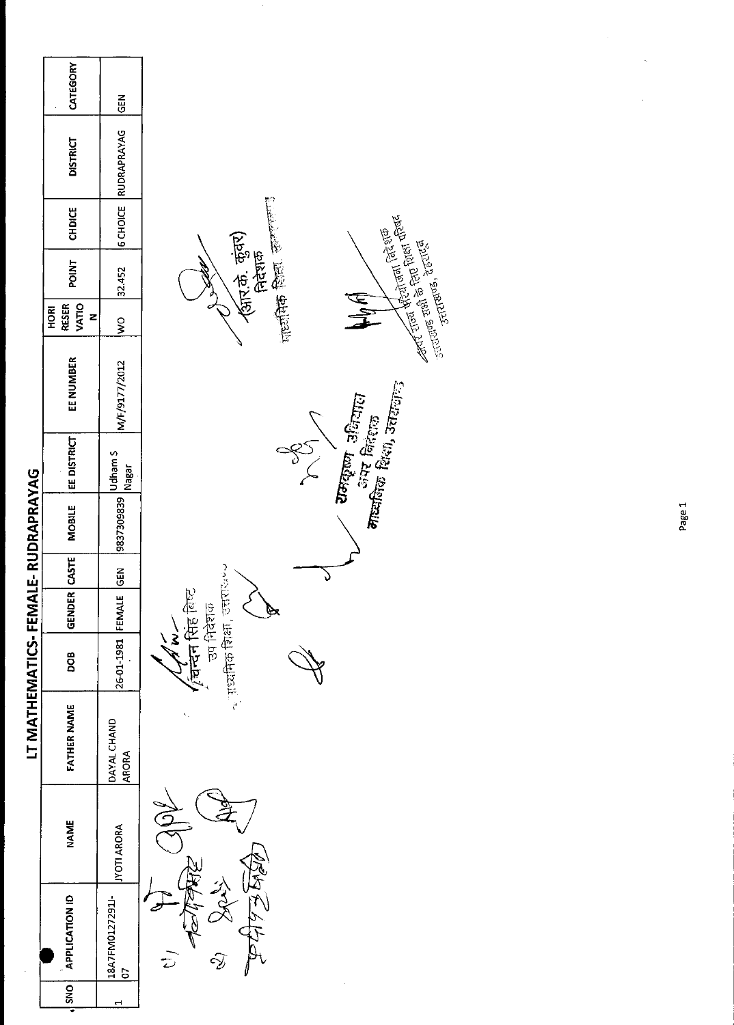|                                   | CATEGORY                                  | GEN                         |                                                                                                                                                                                                                                                                                                                                                                               |
|-----------------------------------|-------------------------------------------|-----------------------------|-------------------------------------------------------------------------------------------------------------------------------------------------------------------------------------------------------------------------------------------------------------------------------------------------------------------------------------------------------------------------------|
|                                   | <b>DISTRICT</b>                           | <b>6 CHOICE RUDRAPRAYAG</b> |                                                                                                                                                                                                                                                                                                                                                                               |
|                                   | CHDICE                                    |                             |                                                                                                                                                                                                                                                                                                                                                                               |
|                                   | <b>POINT</b>                              | 32.452                      | strated and property of the strated of the strated and the strated and the strated and the strated and the str<br>Strategy and a strategy of the strategy of the strategy of the strategy of the strategy of the strategy of the<br>(ब्रार.के कुंवर)<br>निदेशक<br>$\frac{1}{2}$ and $\frac{1}{2}$ and $\frac{1}{2}$ and $\frac{1}{2}$<br>उत्तराखण्ड, देहराएँगै<br>उत्तराखण्ड, |
|                                   | <b>VATIO</b><br><b>RESER</b><br>HORI<br>z | $\tilde{\mathbf{z}}$        | $\frac{\epsilon}{\epsilon}$                                                                                                                                                                                                                                                                                                                                                   |
|                                   | EE NUMBER                                 | M/F/9177/2012               | / रामकृष्ण उक्षियाल<br>मार्जाकेक विदेशक<br>मार्जाकेक विधा, उत्तराजान                                                                                                                                                                                                                                                                                                          |
|                                   | EE DISTRICT                               | Udham S<br>Nagar            | $\frac{1}{2}$                                                                                                                                                                                                                                                                                                                                                                 |
|                                   | <b>MOBILE</b>                             | 9837309839                  |                                                                                                                                                                                                                                                                                                                                                                               |
|                                   |                                           | GEN                         |                                                                                                                                                                                                                                                                                                                                                                               |
|                                   | <b>GENDER</b> CASTE                       |                             | उपदेशक<br>$\mathscr{P}$                                                                                                                                                                                                                                                                                                                                                       |
|                                   | <b>BOO</b>                                | 26-01-1981 FEMALE           | ्र <sub>ा</sub> रध्यमिक शिक्षा, उत्तराय्थ <b>्</b><br>चन्दन सिंह लिल्ट<br>$\dot{\mathbf{z}}$                                                                                                                                                                                                                                                                                  |
| LT MATHEMATICS-FEMALE-RUDRAPRAYAG | <b>FATHER NAME</b>                        | DAYAL CHAND<br><b>ARORA</b> |                                                                                                                                                                                                                                                                                                                                                                               |
|                                   | <b>NAME</b>                               | <b>JYOTI ARORA</b>          |                                                                                                                                                                                                                                                                                                                                                                               |
|                                   | <b>APPLICATION ID</b>                     | 18A7FM0127291J-<br>G        | $\hat{\mathcal{Y}}$                                                                                                                                                                                                                                                                                                                                                           |
|                                   | SNO <sub>1</sub>                          |                             |                                                                                                                                                                                                                                                                                                                                                                               |

Page 1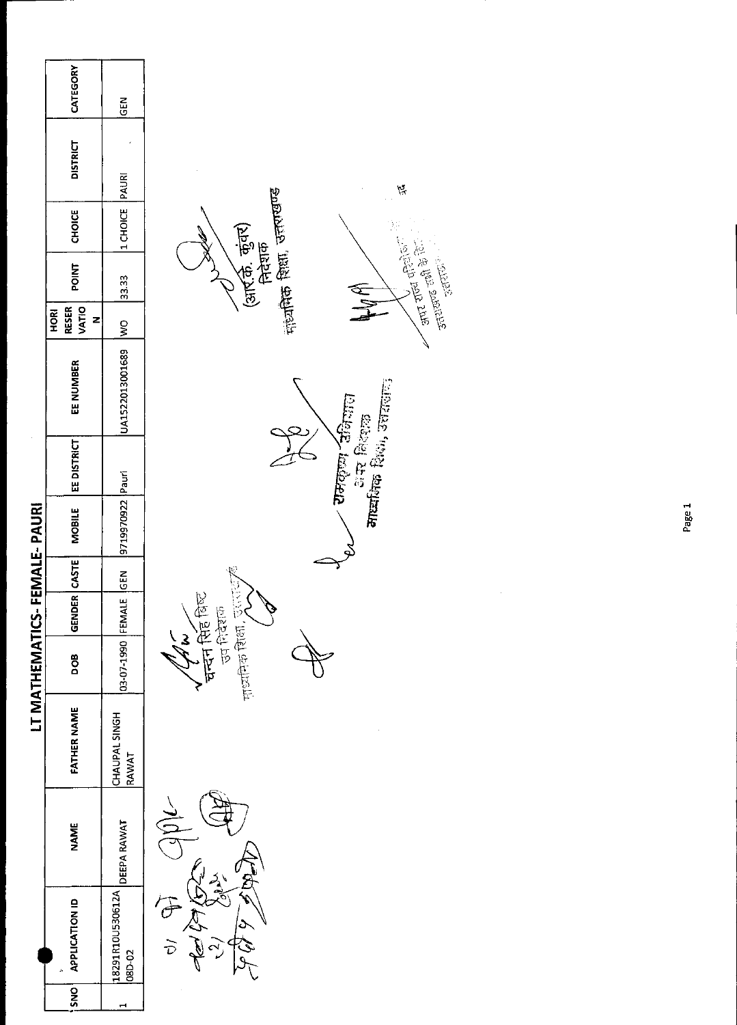|                 | CATEGORY                           | <b>GEN</b>                       |                                                                           |
|-----------------|------------------------------------|----------------------------------|---------------------------------------------------------------------------|
|                 | <b>DISTRICT</b>                    |                                  |                                                                           |
|                 | <b>CHOICE</b>                      | 1 CHOICE PAURI                   | नाट्यांतिक शिक्षा, उत्तराखण्ड                                             |
|                 | <b>POINT</b>                       | 33.33                            | (आर.के. कुंवर)<br>निदेशक<br>气气                                            |
|                 | VATIO<br><b>RESER</b><br>HORI<br>z | $\frac{1}{2}$                    |                                                                           |
|                 | EE NUMBER                          | UA1522013001689                  | ⁄ रामकृष्ण उन्निनात<br>अस्यक्षिक विदेशक<br>मास्यक्षिक विश्वेष, उत्तरालात् |
|                 | EE DISTRICT                        |                                  |                                                                           |
| FEMALE-PAURI    | <b>MOBILE</b>                      | 9719970922 Pauri                 |                                                                           |
|                 |                                    | <b>N3D</b>                       |                                                                           |
|                 | GENDER CASTE                       |                                  |                                                                           |
| LT MATHEMATICS- | BOD                                | 03-07-1990 FEMALE                | 中的作品 食品 人一<br>चन्दन सिंह बिल्ट<br>高度的<br>July                             |
|                 | <b>FATHER NAME</b>                 | CHAUPAL SINGH<br>RAWAT           |                                                                           |
|                 | <b>NAME</b>                        | DEEPA RAWAT                      | $\bigcup\limits_{i=1}^n\mathfrak{Q}_i$<br>$\mathcal{L}(\mathcal{R})$      |
|                 | APPLICATION ID                     | 18291R10U530612A<br><b>SD-02</b> | জ<br>$\widehat{\sigma}$<br>しなみ<br>$\frac{1}{2}$<br>$\frac{2}{2}$          |
|                 | SNO                                |                                  |                                                                           |

 $\tilde{\beta}$ 

**Control Control Control Control Control Control** 

1

 $\hat{\mathcal{A}}$ 

Page 1